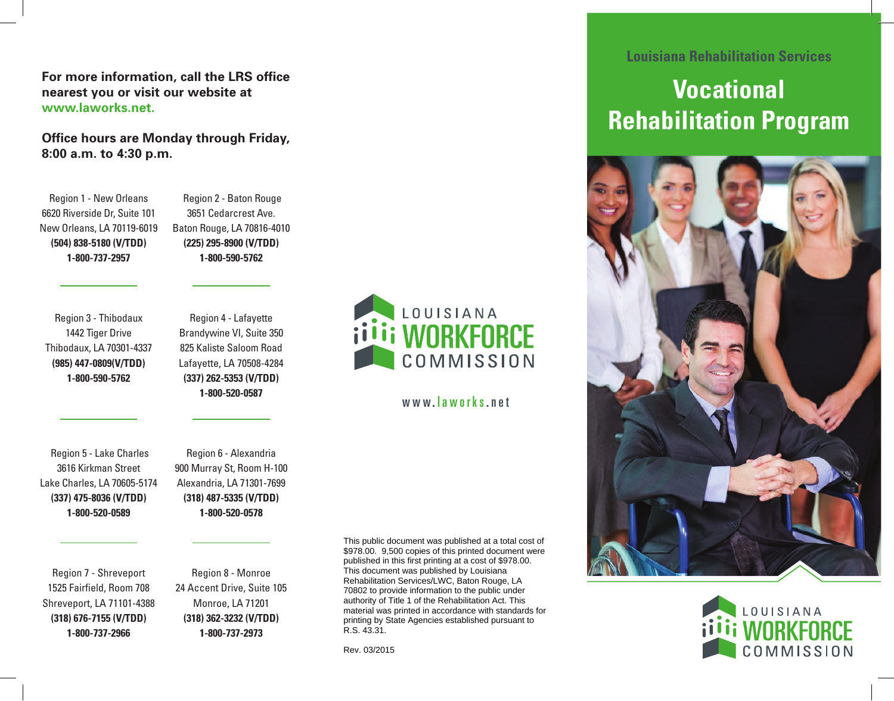**For more information, call the LRS office nearest you or visit our website at www.laworks.net.** 

**Office hours are Monday through Friday, 8:00 a.m. to 4:30 p.m.**

Region 1 - New Orleans 6620 Riverside Dr, Suite 101 New Orleans, LA 70119-6019 **(504) 838-5180 (V/TDD) 1-800-737-2957** 

Region 2 - Baton Rouge 3651 Cedarcrest Ave. Baton Rouge, LA 70816-4010 **(225) 295-8900 (V/TDD) 1-800-590-5762**

Region 3 - Thibodaux 1442 Tiger Drive Thibodaux, LA 70301-4337 **(985) 447-0809(V/TDD) 1-800-590-5762** 

Region 4 - Lafayette Brandywine VI, Suite 350 825 Kaliste Saloom Road Lafayette, LA 70508-4284 **(337) 262-5353 (V/TDD) 1-800-520-0587** 



## www. laworks .net

Region 5 - Lake Charles 3616 Kirkman Street Lake Charles, LA 70605-5174 **(337) 475-8036 (V/TDD) 1-800-520-0589** 

Region 6 - Alexandria 900 Murray St, Room H-100 Alexandria, LA 71301-7699 **(318) 487-5335 (V/TDD) 1-800-520-0578** 

Region 7 - Shreveport 1525 Fairfield, Room 708 Shreveport, LA 71101-4388 **(318) 676-7155 (V/TDD) 1-800-737-2966**

Region 8 - Monroe 24 Accent Drive, Suite 105 Monroe, LA 71201 **(318) 362-3232 (V/TDD) 1-800-737-2973** 

This public document was published at a total cost of \$978.00. 9,500 copies of this printed document were published in this first printing at a cost of \$978.00. This document was published by Louisiana Rehabilitation Services/LWC, Baton Rouge, LA 70802 to provide information to the public under authority of Title 1 of the Rehabilitation Act. This material was printed in accordance with standards for printing by State Agencies established pursuant to R.S. 43.31.

Rev. 03/2015

## **Louisiana Rehabilitation Services**

## **Vocational Rehabilitation Program**